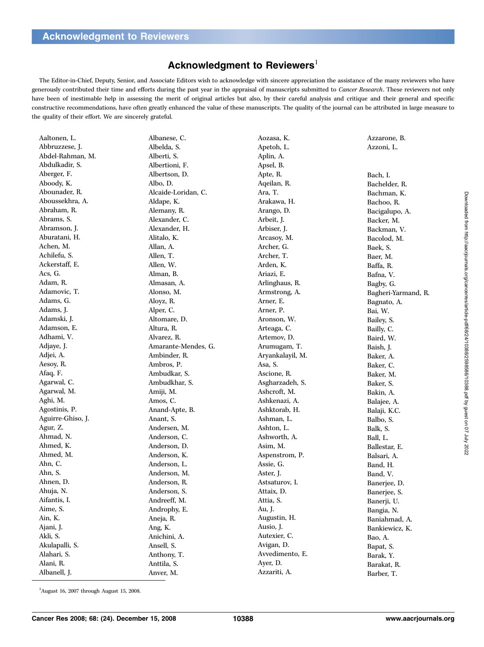## Acknowledgment to Reviewers<sup>1</sup>

The Editor-in-Chief, Deputy, Senior, and Associate Editors wish to acknowledge with sincere appreciation the assistance of the many reviewers who have generously contributed their time and efforts during the past year in the appraisal of manuscripts submitted to Cancer Research. These reviewers not only have been of inestimable help in assessing the merit of original articles but also, by their careful analysis and critique and their general and specific constructive recommendations, have often greatly enhanced the value of these manuscripts. The quality of the journal can be attributed in large measure to the quality of their effort. We are sincerely grateful.

| Aaltonen, L.      | Albanese, C.        | Aozasa, K.       | Azzarone, B.        |
|-------------------|---------------------|------------------|---------------------|
| Abbruzzese, J.    | Albelda, S.         | Apetoh, L.       | Azzoni, L.          |
| Abdel-Rahman, M.  | Alberti, S.         | Aplin, A.        |                     |
| Abdulkadir, S.    | Albertioni, F.      | Apsel, B.        |                     |
| Aberger, F.       | Albertson, D.       | Apte, R.         | Bach, I.            |
| Aboody, K.        | Albo, D.            | Aqeilan, R.      | Bachelder, R.       |
| Abounader, R.     | Alcaide-Loridan, C. | Ara, T.          | Bachman, K.         |
| Aboussekhra, A.   | Aldape, K.          | Arakawa, H.      | Bachoo, R.          |
| Abraham, R.       | Alemany, R.         | Arango, D.       | Bacigalupo, A.      |
| Abrams, S.        | Alexander, C.       | Arbeit, J.       | Backer, M.          |
| Abramson, J.      | Alexander, H.       | Arbiser, J.      | Backman, V.         |
| Aburatani, H.     | Alitalo, K.         | Arcasoy, M.      | Bacolod, M.         |
| Achen, M.         | Allan, A.           | Archer, G.       | Baek, S.            |
| Achilefu, S.      | Allen, T.           | Archer, T.       | Baer, M.            |
| Ackerstaff, E.    | Allen, W.           | Arden, K.        | Baffa, R.           |
| Acs, G.           | Alman, B.           | Ariazi, E.       | Bafna, V.           |
| Adam, R.          | Almasan, A.         | Arlinghaus, R.   | Bagby, G.           |
| Adamovic, T.      | Alonso, M.          | Armstrong, A.    | Bagheri-Yarmand, R. |
| Adams, G.         | Aloyz, R.           | Arner, E.        | Bagnato, A.         |
| Adams, J.         | Alper, C.           | Arner, P.        | Bai, W.             |
| Adamski, J.       | Altomare, D.        | Aronson, W.      | Bailey, S.          |
| Adamson, E.       | Altura, R.          | Arteaga, C.      | Bailly, C.          |
| Adhami, V.        | Alvarez, R.         | Artemov, D.      | Baird, W.           |
| Adjaye, J.        | Amarante-Mendes, G. | Arumugam, T.     | Baish, J.           |
| Adjei, A.         | Ambinder, R.        | Aryankalayil, M. | Baker, A.           |
| Aesoy, R.         | Ambros, P.          | Asa, S.          | Baker, C.           |
| Afaq, F.          | Ambudkar, S.        | Ascione, R.      | Baker, M.           |
| Agarwal, C.       | Ambudkhar, S.       | Asgharzadeh, S.  | Baker, S.           |
| Agarwal, M.       | Amiji, M.           | Ashcroft, M.     | Bakin, A.           |
| Aghi, M.          | Amos, C.            | Ashkenazi, A.    | Balajee, A.         |
| Agostinis, P.     | Anand-Apte, B.      | Ashktorab, H.    | Balaji, K.C.        |
| Aguirre-Ghiso, J. | Anant, S.           | Ashman, L.       | Balbo, S.           |
| Agur, Z.          | Andersen, M.        | Ashton, L.       | Balk, S.            |
| Ahmad, N.         | Anderson, C.        | Ashworth, A.     | Ball, L.            |
| Ahmed, K.         | Anderson, D.        | Asim, M.         | Ballestar, E.       |
| Ahmed, M.         | Anderson, K.        | Aspenstrom, P.   | Balsari, A.         |
| Ahn, C.           | Anderson, L.        | Assie, G.        | Band, H.            |
| Ahn, S.           | Anderson, M.        | Aster, J.        | Band, V.            |
| Ahnen, D.         | Anderson, R.        | Astsaturov, I.   | Banerjee, D.        |
| Ahuja, N.         | Anderson, S.        | Attaix, D.       | Banerjee, S.        |
| Aifantis, I.      | Andreeff, M.        | Attia, S.        | Banerji, U.         |
| Aime, S.          | Androphy, E.        | Au, J.           | Bangia, N.          |
| Ain, K.           | Aneja, R.           | Augustin, H.     | Baniahmad, A.       |
| Ajani, J.         | Ang, K.             | Ausio, J.        | Bankiewicz, K.      |
| Akli, S.          | Anichini, A.        | Autexier, C.     | Bao, A.             |
| Akulapalli, S.    | Ansell, S.          | Avigan, D.       | Bapat, S.           |
| Alahari, S.       | Anthony, T.         | Avvedimento, E.  | Barak, Y.           |
| Alani, R.         | Anttila, S.         | Ayer, D.         | Barakat, R.         |
| Albanell, J.      | Anver, M.           | Azzariti, A.     | Barber, T.          |
|                   |                     |                  |                     |

 $1$ August 16, 2007 through August 15, 2008.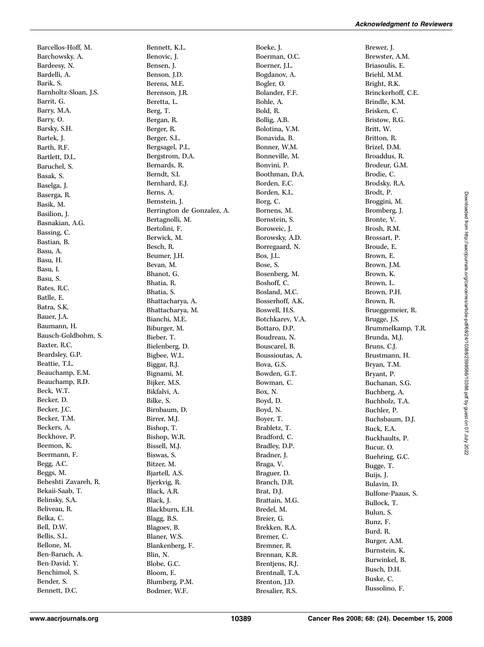Barcellos-Hoff, M. Barchowsky, A. Bardeesy, N. Bardelli, A. Barik, S. Barnholtz-Sloan, J.S. Barrit, G. Barry, M.A. Barry, O. Barsky, S.H. Bartek, J. Barth, R.F. Bartlett, D.L. Baruchel, S. Basak, S. Baselga, J. Baserga, R. Basik, M. Basilion, J. Basnakian, A.G. Bassing, C. Bastian, B. Basu, A. Basu, H. Basu, I. Basu, S. Bates, R.C. Batlle, E. Batra, S.K. Bauer, J.A. Baumann, H. Bausch-Goldbohm, S. Baxter, R.C. Beardsley, G.P. Beattie, T.L. Beauchamp, E.M. Beauchamp, R.D. Beck, W.T. Becker, D. Becker, J.C. Becker, T.M. Beckers, A. Beckhove, P. Beemon, K. Beermann, F. Begg, A.C. Beggs, M. Beheshti Zavareh, R. Bekaii-Saab, T. Belinsky, S.A. Beliveau, R. Belka, C. Bell, D.W. Bellis, S.L. Bellone, M. Ben-Baruch, A. Ben-David, Y. Benchimol, S. Bender, S.

Bennett, K.L. Benovic, J. Bensen, J. Benson, J.D. Berens, M.E. Berenson, J.R. Beretta, L. Berg, T. Bergan, R. Berger, R. Berger, S.L. Bergsagel, P.L. Bergstrom, D.A. Bernards, R. Berndt, S.I. Bernhard, E.J. Berns, A. Bernstein, J. Berrington de Gonzalez, A. Bertagnolli, M. Bertolini, F. Berwick, M. Besch, R. Beumer, J.H. Bevan, M. Bhanot, G. Bhatia, R. Bhatia, S. Bhattacharya, A. Bhattacharya, M. Bianchi, M.E. Biburger, M. Bieber, T. Bielenberg, D. Bigbee, W.L. Biggar, R.J. Bignami, M. Bijker, M.S. Bikfalvi, A. Bilke, S. Birnbaum, D. Birrer, M.J. Bishop, T. Bishop, W.R. Bissell, M.J. Biswas, S. Bitzer, M. Bjartell, A.S. Bjerkvig, R. Black, A.R. Black, J. Blackburn, E.H. Blagg, B.S. Blagoev, B. Blaner, W.S. Blankenberg, F. Blin, N. Blobe, G.C. Bloom, E. Blumberg, P.M. Bodmer, W.F.

Boeke, J. Boerman, O.C. Boerner, J.L. Bogdanov, A. Bogler, O. Bolander, F.F. Bohle, A. Bold, R. Bollig, A.B. Bolotina, V.M. Bonavida, B. Bonner, W.M. Bonneville, M. Bonvini, P. Boothman, D.A. Borden, E.C. Borden, K.L. Borg, C. Bornens, M. Bornstein, S. Boroweic, J. Borowsky, A.D. Borregaard, N. Bos, J.L. Bose, S. Bosenberg, M. Boshoff, C. Bosland, M.C. Bosserhoff, A.K. Boswell, H.S. Botchkarev, V.A. Bottaro, D.P. Boudreau, N. Bouscarel, B. Boussioutas, A. Bova, G.S. Bowden, G.T. Bowman, C. Box, N. Boyd, D. Boyd, N. Boyer, T. Brabletz, T. Bradford, C. Bradley, D.P. Bradner, J. Braga, V. Braguer, D. Branch, D.R. Brat, D.J. Brattain, M.G. Bredel, M. Breier, G. Brekken, R.A. Bremer, C. Bremner, R. Brennan, K.R. Brentjens, R.J. Brentnall, T.A. Brenton, J.D. Bresalier, R.S.

Brewer, J. Brewster, A.M. Briasoulis, E. Briehl, M.M. Bright, R.K. Brinckerhoff, C.E. Brindle, K.M. Brisken, C. Bristow, R.G. Britt, W. Britton, R. Brizel, D.M. Broaddus, R. Brodeur, G.M. Brodie, C. Brodsky, R.A. Brodt, P. Broggini, M. Bromberg, J. Bronte, V. Brosh, R.M. Brossart, P. Broude, E. Brown, E. Brown, J.M. Brown, K. Brown, L. Brown, P.H. Brown, R. Brueggemeier, R. Brugge, J.S. Brummelkamp, T.R. Brunda, M.J. Bruns, C.J. Brustmann, H. Bryan, T.M. Bryant, P. Buchanan, S.G. Buchberg, A. Buchholz, T.A. Buchler, P. Buchsbaum, D.J. Buck, E.A. Buckhaults, P. Bucur, O. Buehring, G.C. Bugge, T. Buijs, J. Bulavin, D. Bulfone-Paaus, S. Bullock, T. Bulun, S. Bunz, F. Burd, R. Burger, A.M. Burnstein, K. Burwinkel, B. Busch, D.H. Buske, C. Bussolino, F.

Bennett, D.C.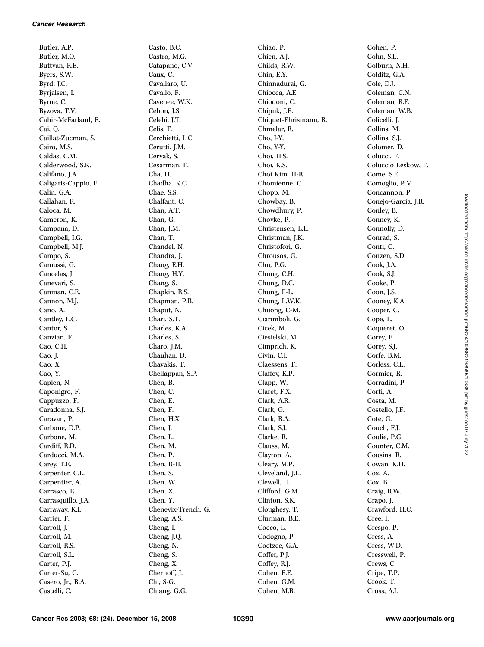Butler, A.P. Butler, M.O. Buttyan, R.E. Byers, S.W. Byrd, J.C. Byrjalsen, I. Byrne, C. Byzova, T.V. Cahir-McFarland, E. Cai, Q. Caillat-Zucman, S. Cairo, M.S. Caldas, C.M. Calderwood, S.K. Califano, J.A. Caligaris-Cappio, F. Calin, G.A. Callahan, R. Caloca, M. Cameron, K. Campana, D. Campbell, I.G. Campbell, M.J. Campo, S. Camussi, G. Cancelas, J. Canevari, S. Canman, C.E. Cannon, M.J. Cano, A. Cantley, L.C. Cantor, S. Canzian, F. Cao, C.H. Cao, J. Cao, X. Cao, Y. Caplen, N. Caponigro, F. Cappuzzo, F. Caradonna, S.J. Caravan, P. Carbone, D.P. Carbone, M. Cardiff, R.D. Carducci, M.A. Carey, T.E. Carpenter, C.L. Carpentier, A. Carrasco, R. Carrasquillo, J.A. Carraway, K.L. Carrier, F. Carroll, J. Carroll, M. Carroll, R.S. Carroll, S.L. Carter, P.J. Carter-Su, C. Casero, Jr., R.A. Castelli, C.

Casto, B.C. Castro, M.G. Catapano, C.V. Caux, C. Cavallaro, U. Cavallo, F. Cavenee, W.K. Cebon, J.S. Celebi, J.T. Celis, E. Cerchietti, L.C. Cerutti, J.M. Ceryak, S. Cesarman, E. Cha, H. Chadha, K.C. Chae, S.S. Chalfant, C. Chan, A.T. Chan, G. Chan, J.M. Chan, T. Chandel, N. Chandra, J. Chang, E.H. Chang, H.Y. Chang, S. Chapkin, R.S. Chapman, P.B. Chaput, N. Chari, S.T. Charles, K.A. Charles, S. Charo, J.M. Chauhan, D. Chavakis, T. Chellappan, S.P. Chen, B. Chen, C. Chen, E. Chen, F. Chen, H.X. Chen, J. Chen, L. Chen, M. Chen, P. Chen, R-H. Chen, S. Chen, W. Chen, X. Chen, Y. Chenevix-Trench, G. Cheng, A.S. Cheng, I. Cheng, J.Q. Cheng, N. Cheng, S. Cheng, X. Chernoff, J. Chi, S-G. Chiang, G.G.

Chiao, P. Chien, A.J. Childs, R.W. Chin, E.Y. Chinnadurai, G. Chiocca, A.E. Chiodoni, C. Chipuk, J.E. Chiquet-Ehrismann, R. Chmelar, R. Cho, J-Y. Cho, Y-Y. Choi, H.S. Choi, K.S. Choi Kim, H-R. Chomienne, C. Chopp, M. Chowbay, B. Chowdhury, P. Choyke, P. Christensen, L.L. Christman, J.K. Christofori, G. Chrousos, G. Chu, P.G. Chung, C.H. Chung, D.C. Chung, F-L. Chung, L.W.K. Chuong, C-M. Ciarimboli, G. Cicek, M. Ciesielski, M. Cimprich, K. Civin, C.I. Claessens, F. Claffey, K.P. Clapp, W. Claret, F.X. Clark, A.R. Clark, G. Clark, R.A. Clark, S.J. Clarke, R. Clauss, M. Clayton, A. Cleary, M.P. Cleveland, J.L. Clewell, H. Clifford, G.M. Clinton, S.K. Cloughesy, T. Clurman, B.E. Cocco, L. Codogno, P. Coetzee, G.A. Coffer, P.J. Coffey, R.J. Cohen, E.E. Cohen, G.M. Cohen, M.B.

Cohen, P. Cohn, S.L. Colburn, N.H. Colditz, G.A. Cole, D.J. Coleman, C.N. Coleman, R.E. Coleman, W.B. Colicelli, J. Collins, M. Collins, S.J. Colomer, D. Colucci, F. Coluccio Leskow, F. Come, S.E. Comoglio, P.M. Concannon, P. Conejo-Garcia, J.R. Conley, B. Conney, K. Connolly, D. Conrad, S. Conti, C. Conzen, S.D. Cook, J.A. Cook, S.J. Cooke, P. Coon, J.S. Cooney, K.A. Cooper, C. Cope, L. Coqueret, O. Corey, E. Corey, S.J. Corfe, B.M. Corless, C.L. Cormier, R. Corradini, P. Corti, A. Costa, M. Costello, J.F. Cote, G. Couch, F.J. Coulie, P.G. Counter, C.M. Cousins, R. Cowan, K.H. Cox, A. Cox, B. Craig, R.W. Crapo, J. Crawford, H.C. Cree, I. Crespo, P. Cress, A. Cress, W.D. Cresswell, P. Crews, C. Cripe, T.P. Crook, T. Cross, A.J.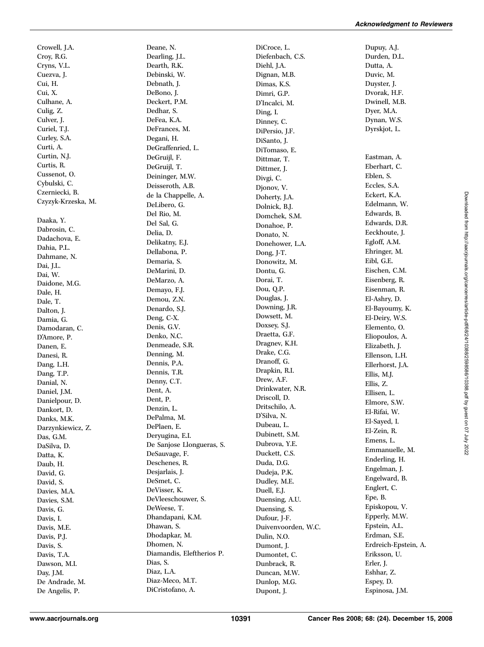Cui, H. Cui, X. Culhane, A. Culig, Z. Culver, J. Curiel, T.J. Curley, S.A. Curti, A. Curtin, N.J. Curtis, R. Cussenot, O. Cybulski, C. Czerniecki, B. Czyzyk-Krzeska, M. Daaka, Y. Dabrosin, C. Dadachova, E. Dahia, P.L. Dahmane, N. Dai, J.L. Dai, W. Daidone, M.G. Dale, H. Dale, T. Dalton, J. Damia, G. Damodaran, C. D'Amore, P. Danen, E. Danesi, R. Dang, L.H. Dang, T.P. Danial, N. Daniel, J.M. Danielpour, D. Dankort, D. Danks, M.K. Darzynkiewicz, Z. Das, G.M. DaSilva, D. Datta, K. Daub, H. David, G. David, S. Davies, M.A. Davies, S.M. Davis, G. Davis, I. Davis, M.E. Davis, P.J. Davis, S. Davis, T.A. Dawson, M.I. Day, J.M. De Andrade, M.

Crowell, J.A. Croy, R.G. Cryns, V.L. Cuezva, J.

Deane, N. Dearling, J.L. Dearth, R.K. Debinski, W. Debnath, J. DeBono, J. Deckert, P.M. Dedhar, S. DeFea, K.A. DeFrances, M. Degani, H. DeGraffenried, L. DeGruijl, F. DeGruijl, T. Deininger, M.W. Deisseroth, A.B. de la Chappelle, A. DeLibero, G. Del Rio, M. Del Sal, G. Delia, D. Delikatny, E.J. Dellabona, P. Demaria, S. DeMarini, D. DeMarzo, A. Demayo, F.J. Demou, Z.N. Denardo, S.J. Deng, C-X. Denis, G.V. Denko, N.C. Denmeade, S.R. Denning, M. Dennis, P.A. Dennis, T.R. Denny, C.T. Dent, A. Dent, P. Denzin, L. DePalma, M. DePlaen, E. Deryugina, E.I. De Sanjose Llongueras, S. DeSauvage, F. Deschenes, R. Desjarlais, J. DeSmet, C. DeVisser, K. DeVleeschouwer, S. DeWeese, T. Dhandapani, K.M. Dhawan, S. Dhodapkar, M. Dhomen, N. Diamandis, Eleftherios P. Dias, S. Diaz, L.A. Diaz-Meco, M.T. DiCristofano, A.

DiCroce, L. Diefenbach, C.S. Diehl, J.A. Dignan, M.B. Dimas, K.S. Dimri, G.P. D'Incalci, M. Ding, I. Dinney, C. DiPersio, J.F. DiSanto, J. DiTomaso, E. Dittmar, T. Dittmer, J. Divgi, C. Djonov, V. Doherty, J.A. Dolnick, B.J. Domchek, S.M. Donahoe, P. Donato, N. Donehower, L.A. Dong, J-T. Donowitz, M. Dontu, G. Dorai, T. Dou, Q.P. Douglas, J. Downing, J.R. Dowsett, M. Doxsey, S.J. Draetta, G.F. Dragnev, K.H. Drake, C.G. Dranoff, G. Drapkin, R.I. Drew, A.F. Drinkwater, N.R. Driscoll, D. Dritschilo, A. D'Silva, N. Dubeau, L. Dubinett, S.M. Dubrova, Y.E. Duckett, C.S. Duda, D.G. Dudeja, P.K. Dudley, M.E. Duell, E.J. Duensing, A.U. Duensing, S. Dufour, J-F. Duivenvoorden, W.C. Dulin, N.O. Dumont, J. Dumontet, C. Dunbrack, R. Duncan, M.W. Dunlop, M.G. Dupont, J.

Dupuy, A.J. Durden, D.L. Dutta, A. Duvic, M. Duyster, J. Dvorak, H.F. Dwinell, M.B. Dyer, M.A. Dynan, W.S. Dyrskjot, L. Eastman, A. Eberhart, C. Eblen, S. Eccles, S.A. Eckert, K.A. Edelmann, W. Edwards, B. Edwards, D.R. Eeckhoute, J. Egloff, A.M. Ehringer, M. Eibl, G.E. Eischen, C.M. Eisenberg, R. Eisenman, R. El-Ashry, D. El-Bayoumy, K. El-Deiry, W.S. Elemento, O. Eliopoulos, A. Elizabeth, J. Ellenson, L.H. Ellerhorst, J.A. Ellis, M.J. Ellis, Z. Ellisen, L. Elmore, S.W. El-Rifai, W. El-Sayed, I. El-Zein, R. Emens, L. Emmanuelle, M. Enderling, H. Engelman, J. Engelward, B. Englert, C. Epe, B. Episkopou, V. Epperly, M.W. Epstein, A.L. Erdman, S.E. Erdreich-Epstein, A. Eriksson, U. Erler, J. Eshhar, Z. Espey, D. Espinosa, J.M.

De Angelis, P.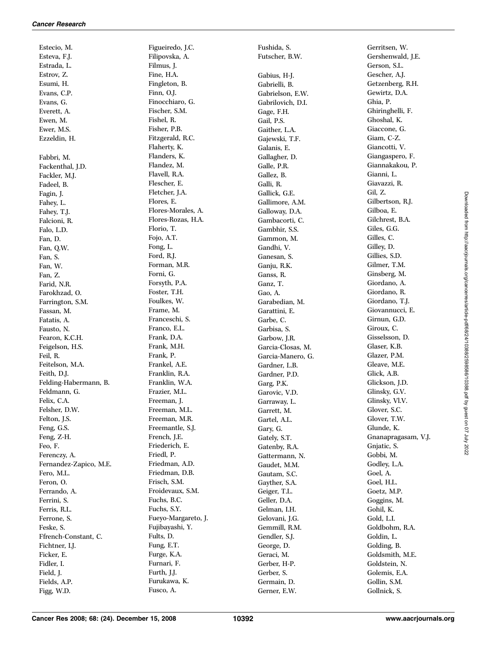Estecio, M. Esteva, F.J. Estrada, L. Estrov, Z. Esumi, H. Evans, C.P. Evans, G. Everett, A. Ewen, M. Ewer, M.S. Ezzeldin, H. Fabbri, M. Fackenthal, J.D. Fackler, M.J. Fadeel, B. Fagin, J. Fahey, L. Fahey, T.J. Falcioni, R. Falo, L.D. Fan, D. Fan, Q.W. Fan, S. Fan, W. Fan, Z. Farid, N.R. Farokhzad, O. Farrington, S.M. Fassan, M. Fatatis, A. Fausto, N. Fearon, K.C.H. Feigelson, H.S. Feil, R. Feitelson, M.A. Feith, D.J. Felding-Habermann, B. Feldmann, G. Felix, C.A. Felsher, D.W. Felton, J.S. Feng, G.S. Feng, Z-H. Feo, F. Ferenczy, A. Fernandez-Zapico, M.E. Fero, M.L. Feron, O. Ferrando, A. Ferrini, S. Ferris, R.L. Ferrone, S. Feske, S. Ffrench-Constant, C. Fichtner, I.J. Ficker, E. Fidler, I. Field, J. Fields, A.P. Figg, W.D.

Figueiredo, J.C. Filipovska, A. Filmus, J. Fine, H.A. Fingleton, B. Finn, O.J. Finocchiaro, G. Fischer, S.M. Fishel, R. Fisher, P.B. Fitzgerald, R.C. Flaherty, K. Flanders, K. Flandez, M. Flavell, R.A. Flescher, E. Fletcher, J.A. Flores, E. Flores-Morales, A. Flores-Rozas, H.A. Florio, T. Fojo, A.T. Fong, L. Ford, R.J. Forman, M.R. Forni, G. Forsyth, P.A. Foster, T.H. Foulkes, W. Frame, M. Franceschi, S. Franco, E.L. Frank, D.A. Frank, M.H. Frank, P. Frankel, A.E. Franklin, R.A. Franklin, W.A. Frazier, M.L. Freeman, J. Freeman, M.L. Freeman, M.R. Freemantle, S.J. French, J.E. Friederich, E. Friedl, P. Friedman, A.D. Friedman, D.B. Frisch, S.M. Froidevaux, S.M. Fuchs, B.C. Fuchs, S.Y. Fueyo-Margareto, J. Fujibayashi, Y. Fults, D. Fung, E.T. Furge, K.A. Furnari, F. Furth, J.J. Furukawa, K. Fusco, A.

Fushida, S. Futscher, B.W. Gabius, H-J. Gabrielli, B. Gabrielson, E.W. Gabrilovich, D.I. Gage, F.H. Gail, P.S. Gaither, L.A. Gajewski, T.F. Galanis, E. Gallagher, D. Galle, P.R. Gallez, B. Galli, R. Gallick, G.E. Gallimore, A.M. Galloway, D.A. Gambacorti, C. Gambhir, S.S. Gammon, M. Gandhi, V. Ganesan, S. Ganju, R.K. Ganss, R. Ganz, T. Gao, A. Garabedian, M. Garattini, E. Garbe, C. Garbisa, S. Garbow, J.R. Garcia-Closas, M. Garcia-Manero, G. Gardner, L.B. Gardner, P.D. Garg, P.K. Garovic, V.D. Garraway, L. Garrett, M. Gartel, A.L. Gary, G. Gately, S.T. Gatenby, R.A. Gattermann, N. Gaudet, M.M. Gautam, S.C. Gayther, S.A. Geiger, T.L. Geller, D.A. Gelman, I.H. Gelovani, J.G. Gemmill, R.M. Gendler, S.J. George, D. Geraci, M. Gerber, H-P. Gerber, S. Germain, D. Gerner, E.W.

Gerritsen, W. Gershenwald, J.E. Gerson, S.L. Gescher, A.J. Getzenberg, R.H. Gewirtz, D.A. Ghia, P. Ghiringhelli, F. Ghoshal, K. Giaccone, G. Giam, C-Z. Giancotti, V. Giangaspero, F. Giannakakou, P. Gianni, L. Giavazzi, R. Gil, Z. Gilbertson, R.J. Gilboa, E. Gilchrest, B.A. Giles, G.G. Gilles, C. Gilley, D. Gillies, S.D. Gilmer, T.M. Ginsberg, M. Giordano, A. Giordano, R. Giordano, T.J. Giovannucci, E. Girnun, G.D. Giroux, C. Gisselsson, D. Glaser, K.B. Glazer, P.M. Gleave, M.E. Glick, A.B. Glickson, J.D. Glinsky, G.V. Glinsky, Vl.V. Glover, S.C. Glover, T.W. Glunde, K. Gnanapragasam, V.J. Gnjatic, S. Gobbi, M. Godley, L.A. Goel, A. Goel, H.L. Goetz, M.P. Goggins, M. Gohil, K. Gold, L.I. Goldbohm, R.A. Goldin, L. Golding, B. Goldsmith, M.E. Goldstein, N. Golemis, E.A. Gollin, S.M. Gollnick, S.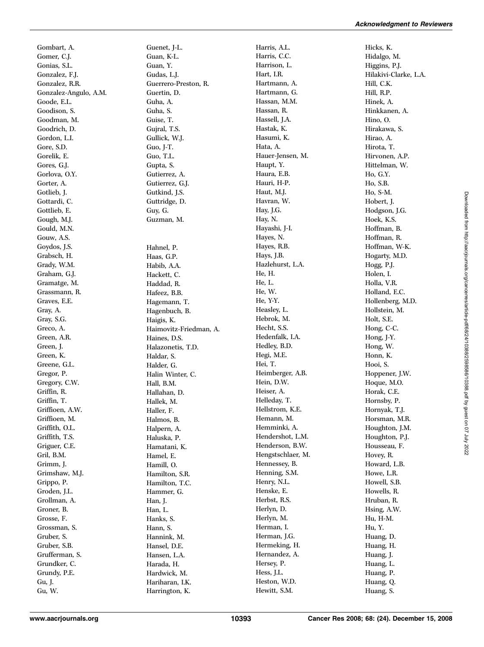Gombart, A. Gomer, C.J. Gonias, S.L. Gonzalez, F.J. Gonzalez, R.R. Gonzalez-Angulo, A.M. Goode, E.L. Goodison, S. Goodman, M. Goodrich, D. Gordon, L.I. Gore, S.D. Gorelik, E. Gores, G.J. Gorlova, O.Y. Gorter, A. Gotlieb, J. Gottardi, C. Gottlieb, E. Gough, M.J. Gould, M.N. Gouw, A.S. Goydos, J.S. Grabsch, H. Grady, W.M. Graham, G.J. Gramatge, M. Grassmann, R. Graves, E.E. Gray, A. Gray, S.G. Greco, A. Green, A.R. Green, J. Green, K. Greene, G.L. Gregor, P. Gregory, C.W. Griffin, R. Griffin, T. Griffioen, A.W. Griffioen, M. Griffith, O.L. Griffith, T.S. Griguer, C.E. Gril, B.M. Grimm, J. Grimshaw, M.J. Grippo, P. Groden, J.L. Grollman, A. Groner, B. Grosse, F. Grossman, S. Gruber, S. Gruber, S.B. Grufferman, S. Grundker, C. Grundy, P.E. Gu, J. Gu, W.

Guenet, J-L. Guan, K-L. Guan, Y. Gudas, L.J. Guerrero-Preston, R. Guertin, D. Guha, A. Guha, S. Guise, T. Gujral, T.S. Gullick, W.J. Guo, J-T. Guo, T.L. Gupta, S. Gutierrez, A. Gutierrez, G.J. Gutkind, J.S. Guttridge, D. Guy, G. Guzman, M. Hahnel, P. Haas, G.P. Habib, A.A. Hackett, C. Haddad, R. Hafeez, B.B. Hagemann, T. Hagenbuch, B. Haigis, K. Haimovitz-Friedman, A. Haines, D.S. Halazonetis, T.D. Haldar, S. Halder, G. Halin Winter, C. Hall, B.M. Hallahan, D. Hallek, M. Haller, F. Halmos, B. Halpern, A. Haluska, P. Hamatani, K. Hamel, E. Hamill, O. Hamilton, S.R. Hamilton, T.C. Hammer, G. Han, J. Han, L. Hanks, S. Hann, S. Hannink, M. Hansel, D.E. Hansen, L.A. Harada, H. Hardwick, M. Hariharan, I.K. Harrington, K.

Harris, A.L. Harris, C.C. Harrison, L. Hart, I.R. Hartmann, A. Hartmann, G. Hassan, M.M. Hassan, R. Hassell, J.A. Hastak, K. Hasumi, K. Hata, A. Hauer-Jensen, M. Haupt, Y. Haura, E.B. Hauri, H-P. Haut, M.J. Havran, W. Hay, J.G. Hay, N. Hayashi, J-I. Hayes, N. Hayes, R.B. Hays, J.B. Hazlehurst, L.A. He, H. He, L. He, W. He, Y-Y. Heasley, L. Hebrok, M. Hecht, S.S. Hedenfalk, I.A. Hedley, B.D. Hegi, M.E. Hei, T. Heimberger, A.B. Hein, D.W. Heiser, A. Helleday, T. Hellstrom, K.E. Hemann, M. Hemminki, A. Hendershot, L.M. Henderson, B.W. Hengstschlaer, M. Hennessey, B. Henning, S.M. Henry, N.L. Henske, E. Herbst, R.S. Herlyn, D. Herlyn, M. Herman, I. Herman, J.G. Hermeking, H. Hernandez, A. Hersey, P. Hess, J.L. Heston, W.D. Hewitt, S.M.

Hicks, K. Hidalgo, M. Higgins, P.J. Hilakivi-Clarke, L.A. Hill, C.K. Hill, R.P. Hinek, A. Hinkkanen, A. Hino, O. Hirakawa, S. Hirao, A. Hirota, T. Hirvonen, A.P. Hittelman, W. Ho, G.Y. Ho, S.B. Ho, S-M. Hobert, J. Hodgson, J.G. Hoek, K.S. Hoffman, B. Hoffman, R. Hoffman, W-K. Hogarty, M.D. Hogg, P.J. Holen, I. Holla, V.R. Holland, E.C. Hollenberg, M.D. Hollstein, M. Holt, S.E. Hong, C-C. Hong, J-Y. Hong, W. Honn, K. Hooi, S. Hoppener, J.W. Hoque, M.O. Horak, C.E. Hornsby, P. Hornyak, T.J. Horsman, M.R. Houghton, J.M. Houghton, P.J. Housseau, F. Hovey, R. Howard, L.B. Howe, L.R. Howell, S.B. Howells, R. Hruban, R. Hsing, A.W. Hu, H-M. Hu, Y. Huang, D. Huang, H. Huang, J. Huang, L. Huang, P. Huang, Q. Huang, S.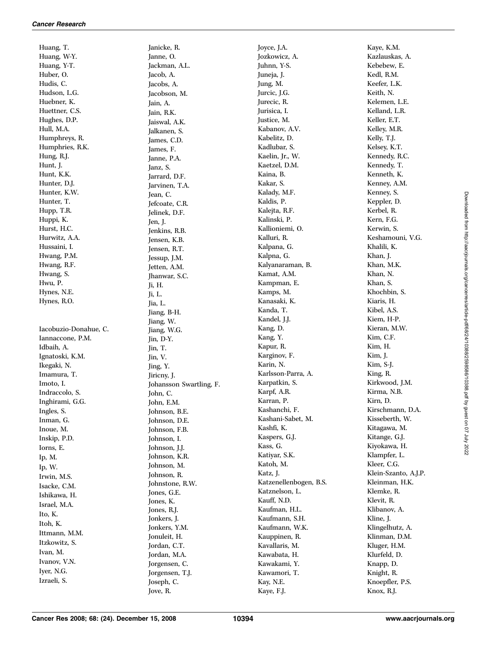Huang, T. Huang, W-Y. Huang, Y-T. Huber, O. Hudis, C. Hudson, L.G. Huebner, K. Huettner, C.S. Hughes, D.P. Hull, M.A. Humphreys, R. Humphries, R.K. Hung, R.J. Hunt, J. Hunt, K.K. Hunter, D.J. Hunter, K.W. Hunter, T. Hupp, T.R. Huppi, K. Hurst, H.C. Hurwitz, A.A. Hussaini, I. Hwang, P.M. Hwang, R.F. Hwang, S. Hwu, P. Hynes, N.E. Hynes, R.O. Iacobuzio-Donahue, C. Iannaccone, P.M. Idbaih, A. Ignatoski, K.M. Ikegaki, N. Imamura, T. Imoto, I.

Indraccolo, S. Inghirami, G.G. Ingles, S. Inman, G. Inoue, M. Inskip, P.D. Iorns, E. Ip, M. Ip, W. Irwin, M.S. Isacke, C.M. Ishikawa, H. Israel, M.A. Ito, K. Itoh, K. Ittmann, M.M. Itzkowitz, S. Ivan, M. Ivanov, V.N. Iyer, N.G. Izraeli, S.

Janicke, R. Janne, O. Jackman, A.L. Jacob, A. Jacobs, A. Jacobson, M. Jain, A. Jain, R.K. Jaiswal, A.K. Jalkanen, S. James, C.D. James, F. Janne, P.A. Janz, S. Jarrard, D.F. Jarvinen, T.A. Jean, C. Jefcoate, C.R. Jelinek, D.F. Jen, J. Jenkins, R.B. Jensen, K.B. Jensen, R.T. Jessup, J.M. Jetten, A.M. Jhanwar, S.C. Ji, H. Ji, L. Jia, L. Jiang, B-H. Jiang, W. Jiang, W.G. Jin, D-Y. Jin, T. Jin, V. Jing, Y. Jiricny, J. Johansson Swartling, F. John, C. John, E.M. Johnson, B.E. Johnson, D.E. Johnson, F.B. Johnson, I. Johnson, J.J. Johnson, K.R. Johnson, M. Johnson, R. Johnstone, R.W. Jones, G.E. Jones, K. Jones, R.J. Jonkers, J. Jonkers, Y.M. Jonuleit, H. Jordan, C.T. Jordan, M.A. Jorgensen, C. Jorgensen, T.J. Joseph, C. Jove, R.

Joyce, J.A. Jozkowicz, A. Juhnn, Y-S. Juneja, J. Jung, M. Jurcic, J.G. Jurecic, R. Jurisica, I. Justice, M. Kabanov, A.V. Kabelitz, D. Kadlubar, S. Kaelin, Jr., W. Kaetzel, D.M. Kaina, B. Kakar, S. Kalady, M.F. Kaldis, P. Kalejta, R.F. Kalinski, P. Kallioniemi, O. Kalluri, R. Kalpana, G. Kalpna, G. Kalyanaraman, B. Kamat, A.M. Kampman, E. Kamps, M. Kanasaki, K. Kanda, T. Kandel, J.J. Kang, D. Kang, Y. Kapur, R. Karginov, F. Karin, N. Karlsson-Parra, A. Karpatkin, S. Karpf, A.R. Karran, P. Kashanchi, F. Kashani-Sabet, M. Kashfi, K. Kaspers, G.J. Kass, G. Katiyar, S.K. Katoh, M. Katz, J. Katzenellenbogen, B.S. Katznelson, L. Kauff, N.D. Kaufman, H.L. Kaufmann, S.H. Kaufmann, W.K. Kauppinen, R. Kavallaris, M. Kawabata, H. Kawakami, Y. Kawamori, T. Kay, N.E. Kaye, F.J.

Kaye, K.M. Kazlauskas, A. Kebebew, E. Kedl, R.M. Keefer, L.K. Keith, N. Kelemen, L.E. Kelland, L.R. Keller, E.T. Kelley, M.R. Kelly, T.J. Kelsey, K.T. Kennedy, R.C. Kennedy, T. Kenneth, K. Kenney, A.M. Kenney, S. Keppler, D. Kerbel, R. Kern, F.G. Kerwin, S. Keshamouni, V.G. Khalili, K. Khan, J. Khan, M.K. Khan, N. Khan, S. Khochbin, S. Kiaris, H. Kibel, A.S. Kiem, H-P. Kieran, M.W. Kim, C.F. Kim, H. Kim, J. Kim, S-J. King, R. Kirkwood, J.M. Kirma, N.B. Kirn, D. Kirschmann, D.A. Kisseberth, W. Kitagawa, M. Kitange, G.J. Kiyokawa, H. Klampfer, L. Kleer, C.G. Klein-Szanto, A.J.P. Kleinman, H.K. Klemke, R. Klevit, R. Klibanov, A. Kline, J. Klingelhutz, A. Klinman, D.M. Kluger, H.M. Klurfeld, D. Knapp, D. Knight, R. Knoepfler, P.S. Knox, R.J.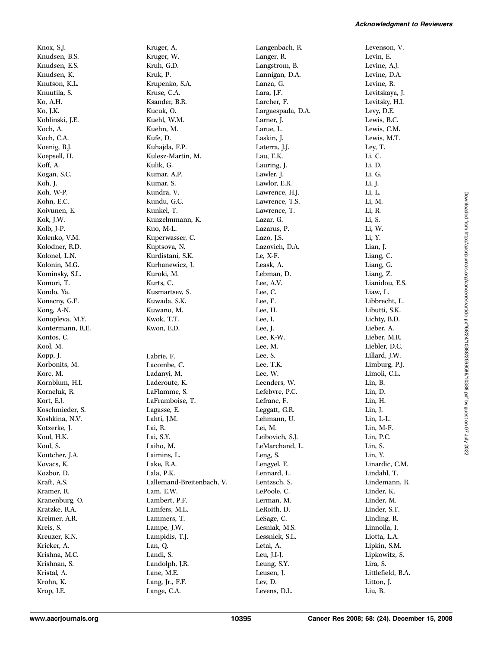Knox, S.J. Knudsen, B.S. Knudsen, E.S. Knudsen, K. Knutson, K.L. Knuutila, S. Ko, A.H. Ko, J.K. Koblinski, J.E. Koch, A. Koch, C.A. Koenig, R.J. Koepsell, H. Koff, A. Kogan, S.C. Koh, J. Koh, W-P. Kohn, E.C. Koivunen, E. Kok, J.W. Kolb, J-P. Kolenko, V.M. Kolodner, R.D. Kolonel, L.N. Kolonin, M.G. Kominsky, S.L. Komori, T. Kondo, Ya. Konecny, G.E. Kong, A-N. Konopleva, M.Y. Kontermann, R.E. Kontos, C. Kool, M. Kopp, J. Korbonits, M. Korc, M. Kornblum, H.I. Korneluk, R. Kort, E.J. Koschmieder, S. Koshkina, N.V. Kotzerke, J. Koul, H.K. Koul, S. Koutcher, J.A. Kovacs, K. Kozbor, D. Kraft, A.S. Kramer, R. Kranenburg, O. Kratzke, R.A. Kreimer, A.R. Kreis, S. Kreuzer, K.N. Kricker, A. Krishna, M.C. Krishnan, S. Kristal, A. Krohn, K. Krop, I.E.

Kruger, A. Kruger, W. Kruh, G.D. Kruk, P. Krupenko, S.A. Kruse, C.A. Ksander, B.R. Kucuk, O. Kuehl, W.M. Kuehn, M. Kufe, D. Kuhajda, F.P. Kulesz-Martin, M. Kulik, G. Kumar, A.P. Kumar, S. Kundra, V. Kundu, G.C. Kunkel, T. Kunzelmmann, K. Kuo, M-L. Kuperwasser, C. Kuptsova, N. Kurdistani, S.K. Kurhanewicz, J. Kuroki, M. Kurts, C. Kusmartsev, S. Kuwada, S.K. Kuwano, M. Kwok, T.T. Kwon, E.D. Labrie, F. Lacombe, C. Ladanyi, M. Laderoute, K. LaFlamme, S. LaFramboise, T. Lagasse, E. Lahti, J.M. Lai, R. Lai, S.Y. Laiho, M. Laimins, L. Lake, R.A. Lala, P.K. Lallemand-Breitenbach, V. Lam, E.W. Lambert, P.F. Lamfers, M.L. Lammers, T. Lampe, J.W. Lampidis, T.J. Lan, Q. Landi, S. Landolph, J.R. Lane, M.E. Lang, Jr., F.F. Lange, C.A.

Langenbach, R. Langer, R. Langstrom, B. Lannigan, D.A. Lanza, G. Lara, J.F. Larcher, F. Largaespada, D.A. Larner, J. Larue, L. Laskin, J. Laterra, J.J. Lau, E.K. Lauring, J. Lawler, J. Lawlor, E.R. Lawrence, H.J. Lawrence, T.S. Lawrence, T. Lazar, G. Lazarus, P. Lazo, J.S. Lazovich, D.A. Le, X-F. Leask, A. Lebman, D. Lee, A.V. Lee, C. Lee, E. Lee, H. Lee, I. Lee, J. Lee, K-W. Lee, M. Lee, S. Lee, T.K. Lee, W. Leenders, W. Lefebvre, P.C. Lefranc, F. Leggatt, G.R. Lehmann, U. Lei, M. Leibovich, S.J. LeMarchand, L. Leng, S. Lengyel, E. Lennard, L. Lentzsch, S. LePoole, C. Lerman, M. LeRoith, D. LeSage, C. Lesniak, M.S. Lessnick, S.L. Letai, A. Leu, J.I-J. Leung, S.Y. Leusen, J. Lev, D. Levens, D.L.

Levenson, V. Levin, E. Levine, A.J. Levine, D.A. Levine, R. Levitskaya, J. Levitsky, H.I. Levy, D.E. Lewis, B.C. Lewis, C.M. Lewis, M.T. Ley, T. Li, C. Li, D. Li, G. Li, J. Li, L. Li, M. Li, R. Li, S. Li, W. Li, Y. Lian, J. Liang, C. Liang, G. Liang, Z. Lianidou, E.S. Liaw, L. Libbrecht, L. Libutti, S.K. Lichty, B.D. Lieber, A. Lieber, M.R. Liebler, D.C. Lillard, J.W. Limburg, P.J. Limoli, C.L. Lin, B. Lin, D. Lin, H. Lin, J. Lin, L-L. Lin, M-F. Lin, P.C. Lin, S. Lin, Y. Linardic, C.M. Lindahl, T. Lindemann, R. Linder, K. Linder, M. Linder, S.T. Linding, R. Linnoila, I. Liotta, L.A. Lipkin, S.M. Lipkowitz, S. Lira, S. Littlefield, B.A. Litton, J. Liu, B.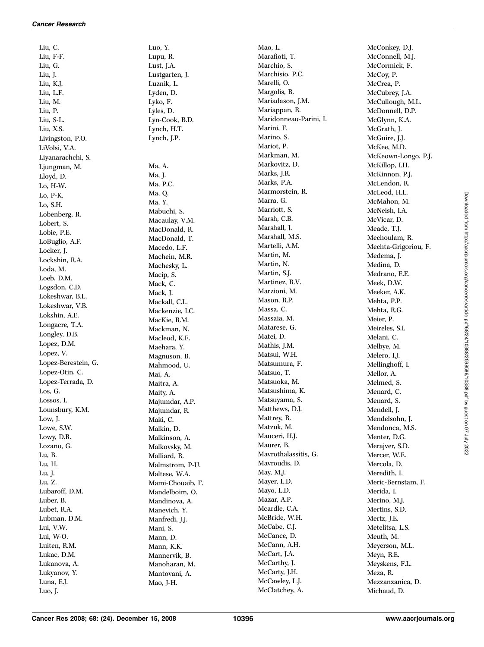Liu, C. Liu, F-F. Liu, G. Liu, J. Liu, K.J. Liu, L.F. Liu, M. Liu, P. Liu, S-L. Liu, X.S. Livingston, P.O. LiVolsi, V.A. Liyanarachchi, S. Ljungman, M. Lloyd, D. Lo, H-W. Lo, P-K. Lo, S.H. Lobenberg, R. Lobert, S. Lobie, P.E. LoBuglio, A.F. Locker, J. Lockshin, R.A. Loda, M. Loeb, D.M. Logsdon, C.D. Lokeshwar, B.L. Lokeshwar, V.B. Lokshin, A.E. Longacre, T.A. Longley, D.B. Lopez, D.M. Lopez, V. Lopez-Berestein, G. Lopez-Otin, C. Lopez-Terrada, D. Los, G. Lossos, I. Lounsbury, K.M. Low, J. Lowe, S.W. Lowy, D.R. Lozano, G. Lu, B. Lu, H. Lu, J. Lu, Z. Lubaroff, D.M. Luber, B. Lubet, R.A. Lubman, D.M. Lui, V.W. Lui, W-O. Luiten, R.M. Lukac, D.M. Lukanova, A. Lukyanov, Y. Luna, E.J. Luo, J.

Luo, Y. Lupu, R. Lust, J.A. Lustgarten, J. Luznik, L. Lyden, D. Lyko, F. Lyles, D. Lyn-Cook, B.D. Lynch, H.T. Lynch, J.P. Ma, A. Ma, J. Ma, P.C. Ma, Q. Ma, Y. Mabuchi, S. Macaulay, V.M. MacDonald, R. MacDonald, T. Macedo, L.F. Machein, M.R. Machesky, L. Macip, S. Mack, C. Mack, J. Mackall, C.L. Mackenzie, I.C. MacKie, R.M. Mackman, N. Macleod, K.F. Maehara, Y. Magnuson, B. Mahmood, U. Mai, A. Maitra, A. Maity, A. Majumdar, A.P. Majumdar, R. Maki, C. Malkin, D. Malkinson, A. Malkovsky, M. Malliard, R. Malmstrom, P-U. Maltese, W.A. Mami-Chouaib, F. Mandelboim, O. Mandinova, A. Manevich, Y. Manfredi, J.J. Mani, S. Mann, D. Mann, K.K. Mannervik, B. Manoharan, M. Mantovani, A. Mao, J-H.

Mao, L. Marafioti, T. Marchio, S. Marchisio, P.C. Marelli, O. Margolis, B. Mariadason, J.M. Mariappan, R. Maridonneau-Parini, I. Marini, F. Marino, S. Mariot, P. Markman, M. Markovitz, D. Marks, J.R. Marks, P.A. Marmorstein, R. Marra, G. Marriott, S. Marsh, C.B. Marshall, J. Marshall, M.S. Martelli, A.M. Martin, M. Martin, N. Martin, S.J. Martinez, R.V. Marzioni, M. Mason, R.P. Massa, C. Massaia, M. Matarese, G. Matei, D. Mathis, J.M. Matsui, W.H. Matsumura, F. Matsuo, T. Matsuoka, M. Matsushima, K. Matsuyama, S. Matthews, D.J. Mattrey, R. Matzuk, M. Mauceri, H.J. Maurer, B. Mavrothalassitis, G. Mavroudis, D. May, M.J. Mayer, L.D. Mayo, L.D. Mazar, A.P. Mcardle, C.A. McBride, W.H. McCabe, C.J. McCance, D. McCann, A.H. McCart, J.A. McCarthy, J. McCarty, J.H. McCawley, L.J. McClatchey, A.

McConkey, D.J. McConnell, M.J. McCormick, F. McCoy, P. McCrea, P. McCubrey, J.A. McCullough, M.L. McDonnell, D.P. McGlynn, K.A. McGrath, J. McGuire, J.J. McKee, M.D. McKeown-Longo, P.J. McKillop, I.H. McKinnon, P.J. McLendon, R. McLeod, H.L. McMahon, M. McNeish, I.A. McVicar, D. Meade, T.J. Mechoulam, R. Mechta-Grigoriou, F. Medema, J. Medina, D. Medrano, E.E. Meek, D.W. Meeker, A.K. Mehta, P.P. Mehta, R.G. Meier, P. Meireles, S.I. Melani, C. Melbye, M. Melero, I.J. Mellinghoff, I. Mellor, A. Melmed, S. Menard, C. Menard, S. Mendell, J. Mendelsohn, J. Mendonca, M.S. Menter, D.G. Merajver, S.D. Mercer, W.E. Mercola, D. Meredith, I. Meric-Bernstam, F. Merida, I. Merino, M.J. Mertins, S.D. Mertz, J.E. Metelitsa, L.S. Meuth, M. Meyerson, M.L. Meyn, R.E. Meyskens, F.L. Meza, R. Mezzanzanica, D. Michaud, D.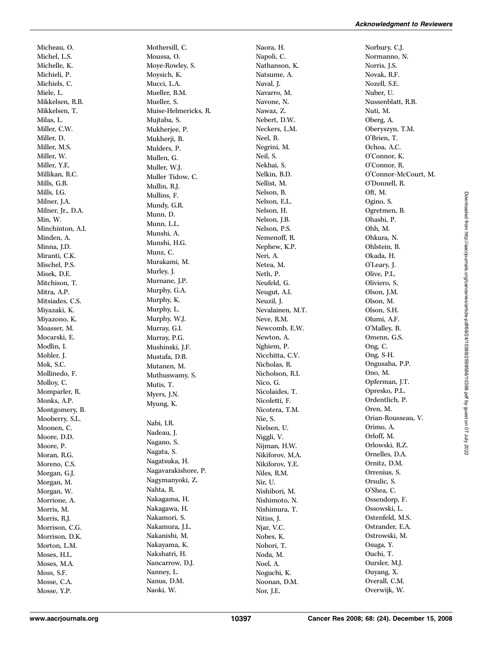Micheau, O. Michel, L.S. Michelle, K. Michieli, P. Michiels, C. Miele, L. Mikkelsen, R.B. Mikkelsen, T. Milas, L. Miller, C.W. Miller, D. Miller, M.S. Miller, W. Miller, Y.E. Millikan, R.C. Mills, G.B. Mills, I.G. Milner, J.A. Milner, Jr., D.A. Min, W. Minchinton, A.I. Minden, A. Minna, J.D. Miranti, C.K. Mischel, P.S. Misek, D.E. Mitchison, T. Mitra, A.P. Mitsiades, C.S. Miyazaki, K. Miyazono, K. Moasser, M. Mocarski, E. Modlin, I. Mohler, J. Mok, S.C. Mollinedo, F. Molloy, C. Momparler, R. Monks, A.P. Montgomery, B. Mooberry, S.L. Moonen, C. Moore, D.D. Moore, P. Moran, R.G. Moreno, C.S. Morgan, G.J. Morgan, M. Morgan, W. Morrione, A. Morris, M. Morris, R.J. Morrison, C.G. Morrison, D.K. Morton, L.M. Moses, H.L. Moses, M.A. Moss, S.F. Mosse, C.A.

Mothersill, C. Moussa, O. Moye-Rowley, S. Moysich, K. Mucci, L.A. Mueller, B.M. Mueller, S. Muise-Helmericks, R. Mujtaba, S. Mukherjee, P. Mukherji, B. Mulders, P. Mullen, G. Muller, W.J. Muller Tidow, C. Mullin, R.J. Mullins, F. Mundy, G.R. Munn, D. Munn, L.L. Munshi, A. Munshi, H.G. Munz, C. Murakami, M. Murley, J. Murnane, J.P. Murphy, G.A. Murphy, K. Murphy, L. Murphy, W.J. Murray, G.I. Murray, P.G. Mushinski, J.F. Mustafa, D.B. Mutanen, M. Muthuswamy, S. Mutis, T. Myers, J.N. Myung, K. Nabi, I.R. Nadeau, J. Nagano, S. Nagata, S. Nagatsuka, H. Nagavarakishore, P. Nagymanyoki, Z. Nahta, R. Nakagama, H. Nakagawa, H. Nakamori, S. Nakamura, J.L. Nakanishi, M. Nakayama, K. Nakshatri, H. Nancarrow, D.J. Nanney, L. Nanus, D.M. Naoki, W.

Naora, H. Napoli, C. Nathanson, K. Natsume, A. Naval, J. Navarro, M. Navone, N. Nawaz, Z. Nebert, D.W. Neckers, L.M. Neel, B. Negrini, M. Neil, S. Nekhai, S. Nelkin, B.D. Nellist, M. Nelson, B. Nelson, E.L. Nelson, H. Nelson, J.B. Nelson, P.S. Nemenoff, R. Nephew, K.P. Neri, A. Netea, M. Neth, P. Neufeld, G. Neugut, A.I. Neuzil, J. Nevalainen, M.T. Neve, R.M. Newcomb, E.W. Newton, A. Nghiem, P. Nicchitta, C.V. Nicholas, R. Nicholson, R.I. Nico, G. Nicolaides, T. Nicoletti, F. Nicotera, T.M. Nie, S. Nielsen, U. Niggli, V. Nijman, H.W. Nikiforov, M.A. Nikiforov, Y.E. Niles, R.M. Nir, U. Nishibori, M. Nishimoto, N. Nishimura, T. Nitiss, J. Njar, V.C. Nobes, K. Nobori, T. Noda, M. Noel, A. Noguchi, K. Noonan, D.M. Nor, J.E.

Norbury, C.J. Normanno, N. Norris, J.S. Novak, R.F. Nozell, S.E. Nuber, U. Nussenblatt, R.B. Nuti, M. Oberg, A. Oberyszyn, T.M. O'Brien, T. Ochoa, A.C. O'Connor, K. O'Connor, R. O'Connor-McCourt, M. O'Donnell, R. Oft, M. Ogino, S. Ogretmen, B. Ohashi, P. Ohh, M. Ohkura, N. Ohlstein, B. Okada, H. O'Leary, J. Olive, P.L. Oliviero, S. Olson, J.M. Olson, M. Olson, S.H. Olumi, A.F. O'Malley, B. Omenn, G.S. Ong, C. Ong, S-H. Ongusaha, P.P. Ono, M. Opferman, J.T. Opresko, P.L. Ordentlich, P. Oren, M. Orian-Rousseau, V. Orimo, A. Orloff, M. Orlowski, R.Z. Ornelles, D.A. Ornitz, D.M. Orrenius, S. Orsulic, S. O'Shea, C. Ossendorp, F. Ossowski, L. Ostenfeld, M.S. Ostrander, E.A. Ostrowski, M. Osuga, Y. Ouchi, T. Oursler, M.J. Ouyang, X. Overall, C.M. Overwijk, W.

Mosse, Y.P.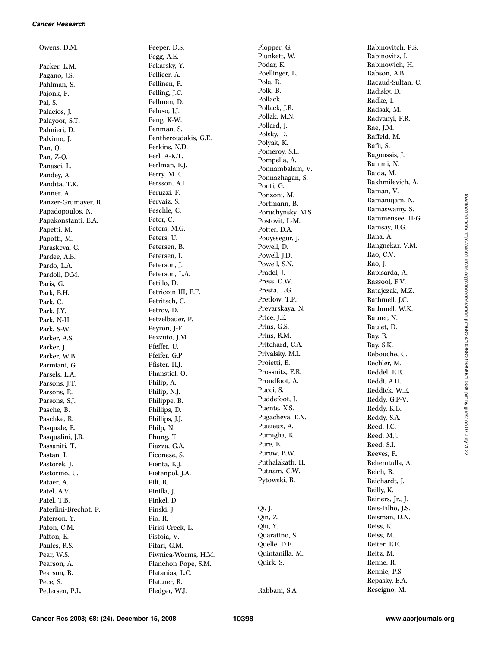Owens, D.M. Packer, L.M. Pagano, J.S. Pahlman, S. Pajonk, F. Pal, S. Palacios, J. Palayoor, S.T. Palmieri, D. Palvimo, J. Pan, Q. Pan, Z-Q. Panasci, L. Pandey, A. Pandita, T.K. Panner, A. Panzer-Grumayer, R. Papadopoulos, N. Papakonstanti, E.A. Papetti, M. Papotti, M. Paraskeva, C. Pardee, A.B. Pardo, L.A. Pardoll, D.M. Paris, G. Park, B.H. Park, C. Park, J.Y. Park, N-H. Park, S-W. Parker, A.S. Parker, J. Parker, W.B. Parmiani, G. Parsels, L.A. Parsons, J.T. Parsons, R. Parsons, S.J. Pasche, B. Paschke, R. Pasquale, E. Pasqualini, J.R. Passaniti, T. Pastan, I. Pastorek, J. Pastorino, U. Pataer, A. Patel, A.V. Patel, T.B. Paterlini-Brechot, P. Paterson, Y. Paton, C.M. Patton, E. Paules, R.S. Pear, W.S. Pearson, A. Pearson, R. Pece, S. Pedersen, P.L.

Peeper, D.S. Pegg, A.E. Pekarsky, Y. Pellicer, A. Pellinen, R. Pelling, J.C. Pellman, D. Peluso, J.J. Peng, K-W. Penman, S. Pentheroudakis, G.E. Perkins, N.D. Perl, A-K.T. Perlman, E.J. Perry, M.E. Persson, A.I. Peruzzi, F. Pervaiz, S. Peschle, C. Peter, C. Peters, M.G. Peters, U. Petersen, B. Petersen, I. Peterson, J. Peterson, L.A. Petillo, D. Petricoin III, E.F. Petritsch, C. Petrov, D. Petzelbauer, P. Peyron, J-F. Pezzuto, J.M. Pfeffer, U. Pfeifer, G.P. Pfister, H.J. Phanstiel, O. Philip, A. Philip, N.J. Philippe, B. Phillips, D. Phillips, J.J. Philp, N. Phung, T. Piazza, G.A. Piconese, S. Pienta, K.J. Pietenpol, J.A. Pili, R. Pinilla, J. Pinkel, D. Pinski, J. Pio, R. Pirisi-Creek, L. Pistoia, V. Pitari, G.M. Piwnica-Worms, H.M. Planchon Pope, S.M. Platanias, L.C. Plattner, R. Pledger, W.J.

Plopper, G. Plunkett, W. Podar, K. Poellinger, L. Pola, R. Polk, B. Pollack, I. Pollack, J.R. Pollak, M.N. Pollard, J. Polsky, D. Polyak, K. Pomeroy, S.L. Pompella, A. Ponnambalam, V. Ponnazhagan, S. Ponti, G. Ponzoni, M. Portmann, B. Poruchynsky, M.S. Postovit, L-M. Potter, D.A. Pouyssegur, J. Powell, D. Powell, J.D. Powell, S.N. Pradel, J. Press, O.W. Presta, L.G. Pretlow, T.P. Prevarskaya, N. Price, J.E. Prins, G.S. Prins, R.M. Pritchard, C.A. Privalsky, M.L. Proietti, E. Prossnitz, E.R. Proudfoot, A. Pucci, S. Puddefoot, J. Puente, X.S. Pugacheva, E.N. Puisieux, A. Pumiglia, K. Pure, E. Purow, B.W. Puthalakath, H. Putnam, C.W. Pytowski, B. Qi, J. Qin, Z. Qiu, Y. Quaratino, S. Quelle, D.E. Quintanilla, M. Quirk, S. Rabbani, S.A.

Rabinovitch, P.S. Rabinovitz, I. Rabinowich, H. Rabson, A.B. Racaud-Sultan, C. Radisky, D. Radke, I. Radsak, M. Radvanyi, F.R. Rae, J.M. Raffeld, M. Rafii, S. Ragoussis, J. Rahimi, N. Raida, M. Rakhmilevich, A. Raman, V. Ramanujam, N. Ramaswamy, S. Rammensee, H-G. Ramsay, R.G. Rana, A. Rangnekar, V.M. Rao, C.V. Rao, J. Rapisarda, A. Rassool, F.V. Ratajczak, M.Z. Rathmell, J.C. Rathmell, W.K. Ratner, N. Raulet, D. Ray, R. Ray, S.K. Rebouche, C. Rechler, M. Reddel, R.R. Reddi, A.H. Reddick, W.E. Reddy, G.P-V. Reddy, K.B. Reddy, S.A. Reed, J.C. Reed, M.J. Reed, S.I. Reeves, R. Rehemtulla, A. Reich, R. Reichardt, J. Reilly, K. Reiners, Jr., J. Reis-Filho, J.S. Reisman, D.N. Reiss, K. Reiss, M. Reiter, R.E. Reitz, M. Renne, R. Rennie, P.S. Repasky, E.A. Rescigno, M.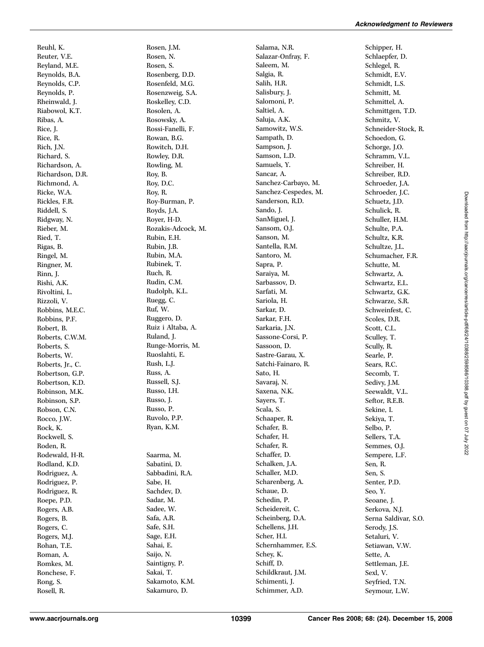Reuhl, K. Reuter, V.E. Reyland, M.E. Reynolds, B.A. Reynolds, C.P. Reynolds, P. Rheinwald, J. Riabowol, K.T. Ribas, A. Rice, J. Rice, R. Rich, J.N. Richard, S. Richardson, A. Richardson, D.R. Richmond, A. Ricke, W.A. Rickles, F.R. Riddell, S. Ridgway, N. Rieber, M. Ried, T. Rigas, B. Ringel, M. Ringner, M. Rinn, J. Rishi, A.K. Rivoltini, L. Rizzoli, V. Robbins, M.E.C. Robbins, P.F. Robert, B. Roberts, C.W.M. Roberts, S. Roberts, W. Roberts, Jr., C. Robertson, G.P. Robertson, K.D. Robinson, M.K. Robinson, S.P. Robson, C.N. Rocco, J.W. Rock, K. Rockwell, S. Roden, R. Rodewald, H-R. Rodland, K.D. Rodriguez, A. Rodriguez, P. Rodriguez, R. Roepe, P.D. Rogers, A.B. Rogers, B. Rogers, C. Rogers, M.J. Rohan, T.E. Roman, A. Romkes, M. Ronchese, F. Rong, S.

Rosen, J.M. Rosen, N. Rosen, S. Rosenberg, D.D. Rosenfeld, M.G. Rosenzweig, S.A. Roskelley, C.D. Rosolen, A. Rosowsky, A. Rossi-Fanelli, F. Rowan, B.G. Rowitch, D.H. Rowley, D.R. Rowling, M. Roy, B. Roy, D.C. Roy, R. Roy-Burman, P. Royds, J.A. Royer, H-D. Rozakis-Adcock, M. Rubin, E.H. Rubin, J.B. Rubin, M.A. Rubinek, T. Ruch, R. Rudin, C.M. Rudolph, K.L. Ruegg, C. Ruf, W. Ruggero, D. Ruiz i Altaba, A. Ruland, J. Runge-Morris, M. Ruoslahti, E. Rush, L.J. Russ, A. Russell, S.J. Russo, I.H. Russo, J. Russo, P. Ruvolo, P.P. Ryan, K.M. Saarma, M. Sabatini, D. Sabbadini, R.A. Sabe, H. Sachdev, D. Sadar, M. Sadee, W. Safa, A.R. Safe, S.H. Sage, E.H. Sahai, E. Saijo, N. Saintigny, P. Sakai, T. Sakamoto, K.M. Sakamuro, D.

Salama, N.R. Salazar-Onfray, F. Saleem, M. Salgia, R. Salih, H.R. Salisbury, J. Salomoni, P. Saltiel, A. Saluja, A.K. Samowitz, W.S. Sampath, D. Sampson, J. Samson, L.D. Samuels, Y. Sancar, A. Sanchez-Carbayo, M. Sanchez-Cespedes, M. Sanderson, R.D. Sando, J. SanMiguel, J. Sansom, O.J. Sanson, M. Santella, R.M. Santoro, M. Sapra, P. Saraiya, M. Sarbassov, D. Sarfati, M. Sariola, H. Sarkar, D. Sarkar, F.H. Sarkaria, J.N. Sassone-Corsi, P. Sassoon, D. Sastre-Garau, X. Satchi-Fainaro, R. Sato, H. Savaraj, N. Saxena, N.K. Sayers, T. Scala, S. Schaaper, R. Schafer, B. Schafer, H. Schafer, R. Schaffer, D. Schalken, J.A. Schaller, M.D. Scharenberg, A. Schaue, D. Schedin, P. Scheidereit, C. Scheinberg, D.A. Schellens, J.H. Scher, H.I. Schernhammer, E.S. Schey, K. Schiff, D. Schildkraut, J.M. Schimenti, J. Schimmer, A.D.

Schipper, H. Schlaepfer, D. Schlegel, R. Schmidt, E.V. Schmidt, L.S. Schmitt, M. Schmittel, A. Schmittgen, T.D. Schmitz, V. Schneider-Stock, R. Schoedon, G. Schorge, J.O. Schramm, V.L. Schreiber, H. Schreiber, R.D. Schroeder, J.A. Schroeder, J.C. Schuetz, J.D. Schulick, R. Schuller, H.M. Schulte, P.A. Schultz, K.R. Schultze, J.L. Schumacher, F.R. Schutte, M. Schwartz, A. Schwartz, E.L. Schwartz, G.K. Schwarze, S.R. Schweinfest, C. Scoles, D.R. Scott, C.L. Sculley, T. Scully, R. Searle, P. Sears, R.C. Secomb, T. Sedivy, J.M. Seewaldt, V.L. Seftor, R.E.B. Sekine, I. Sekiya, T. Selbo, P. Sellers, T.A. Semmes, O.J. Sempere, L.F. Sen, R. Sen, S. Senter, P.D. Seo, Y. Seoane, J. Serkova, N.J. Serna Saldivar, S.O. Serody, J.S. Setaluri, V. Setiawan, V.W. Sette, A. Settleman, J.E. Sexl, V. Seyfried, T.N. Seymour, L.W.

Rosell, R.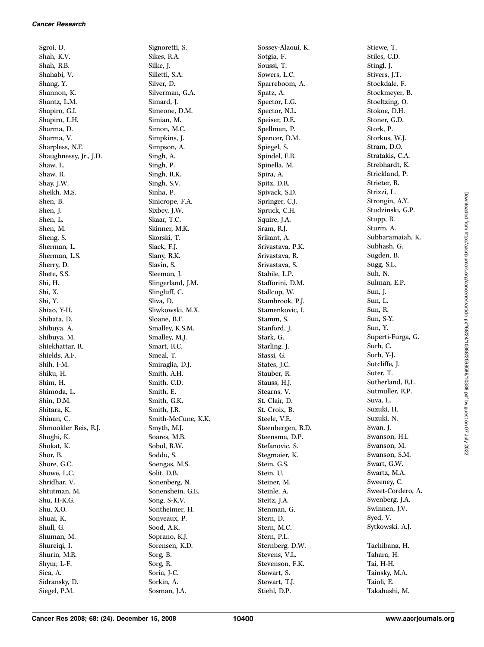Sgroi, D. Shah, K.V. Shah, R.B. Shahabi, V. Shang, Y. Shannon, K. Shantz, L.M. Shapiro, G.I. Shapiro, L.H. Sharma, D. Sharma, V. Sharpless, N.E. Shaughnessy, Jr., J.D. Shaw, L. Shaw, R. Shay, J.W. Sheikh, M.S. Shen, B. Shen, J. Shen, L. Shen, M. Sheng, S. Sherman, L. Sherman, L.S. Sherry, D. Shete, S.S. Shi, H. Shi, X. Shi, Y. Shiao, Y-H. Shibata, D. Shibuya, A. Shibuya, M. Shiekhattar, R. Shields, A.F. Shih, I-M. Shiku, H. Shim, H. Shimoda, L. Shin, D.M. Shitara, K. Shiuan, C. Shmookler Reis, R.J. Shoghi, K. Shokat, K. Shor, B. Shore, G.C. Showe, L.C. Shridhar, V. Shtutman, M. Shu, H-K.G. Shu, X.O. Shuai, K. Shull, G. Shuman, M. Shureiqi, I. Shurin, M.R. Shyur, L-F. Sica, A. Sidransky, D. Siegel, P.M.

Signoretti, S. Sikes, R.A. Silke, J. Silletti, S.A. Silver, D. Silverman, G.A. Simard, J. Simeone, D.M. Simian, M. Simon, M.C. Simpkins, J. Simpson, A. Singh, A. Singh, P. Singh, R.K. Singh, S.V. Sinha, P. Sinicrope, F.A. Sixbey, J.W. Skaar, T.C. Skinner, M.K. Skorski, T. Slack, F.J. Slany, R.K. Slavin, S. Sleeman, J. Slingerland, J.M. Slingluff, C. Sliva, D. Sliwkowski, M.X. Sloane, B.F. Smalley, K.S.M. Smalley, M.J. Smart, R.C. Smeal, T. Smiraglia, D.J. Smith, A.H. Smith, C.D. Smith, E. Smith, G.K. Smith, J.R. Smith-McCune, K.K. Smyth, M.J. Soares, M.B. Sobol, R.W. Soddu, S. Soengas, M.S. Solit, D.B. Sonenberg, N. Sonenshein, G.E. Song, S-K.V. Sontheimer, H. Sonveaux, P. Sood, A.K. Soprano, K.J. Sorensen, K.D. Sorg, B. Sorg, R. Soria, J-C. Sorkin, A. Sosman, J.A.

Sossey-Alaoui, K. Sotgia, F. Soussi, T. Sowers, L.C. Sparreboom, A. Spatz, A. Spector, L.G. Spector, N.L. Speiser, D.E. Spellman, P. Spencer, D.M. Spiegel, S. Spindel, E.R. Spinella, M. Spira, A. Spitz, D.R. Spivack, S.D. Springer, C.J. Spruck, C.H. Squire, J.A. Sram, R.J. Srikant, A. Srivastava, P.K. Srivastava, R. Srivastava, S. Stabile, L.P. Stafforini, D.M. Stallcup, W. Stambrook, P.J. Stamenkovic, I. Stamm, S. Stanford, J. Stark, G. Starling, J. Stassi, G. States, J.C. Stauber, R. Stauss, H.J. Stearns, V. St. Clair, D. St. Croix, B. Steele, V.E. Steenbergen, R.D. Steensma, D.P. Stefanovic, S. Stegmaier, K. Stein, G.S. Stein, U. Steiner, M. Steinle, A. Steitz, J.A. Stenman, G. Stern, D. Stern, M.C. Stern, P.L. Sternberg, D.W. Stevens, V.L. Stevenson, F.K. Stewart, S. Stewart, T.J. Stiehl, D.P.

Stiewe, T. Stiles, C.D. Stingl, J. Stivers, J.T. Stockdale, F. Stockmeyer, B. Stoeltzing, O. Stokoe, D.H. Stoner, G.D. Stork, P. Storkus, W.J. Stram, D.O. Stratakis, C.A. Strebhardt, K. Strickland, P. Strieter, R. Strizzi, L. Strongin, A.Y. Studzinski, G.P. Stupp, R. Sturm, A. Subbaramaiah, K. Subhash, G. Sugden, B. Sugg, S.L. Suh, N. Sulman, E.P. Sun, J. Sun, L. Sun, R. Sun, S-Y. Sun, Y. Superti-Furga, G. Surh, C. Surh, Y-J. Sutcliffe, J. Suter, T. Sutherland, R.L. Sutmuller, R.P. Suva, L. Suzuki, H. Suzuki, N. Swan, J. Swanson, H.I. Swanson, M. Swanson, S.M. Swart, G.W. Swartz, M.A. Sweeney, C. Sweet-Cordero, A. Swenberg, J.A. Swinnen, J.V. Syed, V. Sytkowski, A.J. Tachibana, H. Tahara, H. Tai, H-H. Tainsky, M.A. Taioli, E.

Takahashi, M.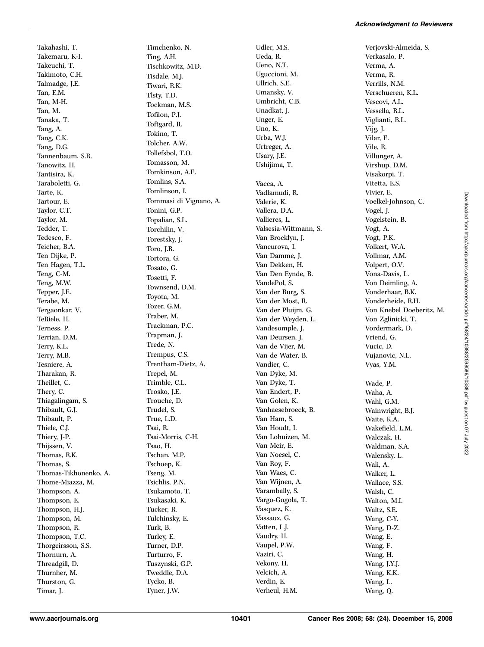Takahashi, T. Takemaru, K-I. Takeuchi, T. Takimoto, C.H. Talmadge, J.E. Tan, E.M. Tan, M-H. Tan, M. Tanaka, T. Tang, A. Tang, C.K. Tang, D.G. Tannenbaum, S.R. Tanowitz, H. Tantisira, K. Taraboletti, G. Tarte, K. Tartour, E. Taylor, C.T. Taylor, M. Tedder, T. Tedesco, F. Teicher, B.A. Ten Dijke, P. Ten Hagen, T.L. Teng, C-M. Teng, M.W. Tepper, J.E. Terabe, M. Tergaonkar, V. TeRiele, H. Terness, P. Terrian, D.M. Terry, K.L. Terry, M.B. Tesniere, A. Tharakan, R. Theillet, C. Thery, C. Thiagalingam, S. Thibault, G.J. Thibault, P. Thiele, C.J. Thiery, J-P. Thijssen, V. Thomas, R.K. Thomas, S. Thomas-Tikhonenko, A. Thome-Miazza, M. Thompson, A. Thompson, E. Thompson, H.J. Thompson, M. Thompson, R. Thompson, T.C. Thorgeirsson, S.S. Thornurn, A. Threadgill, D. Thurnher, M. Thurston, G. Timar, J.

Timchenko, N. Ting, A.H. Tischkowitz, M.D. Tisdale, M.J. Tiwari, R.K. Tlsty, T.D. Tockman, M.S. Tofilon, P.J. Toftgard, R. Tokino, T. Tolcher, A.W. Tollefsbol, T.O. Tomasson, M. Tomkinson, A.E. Tomlins, S.A. Tomlinson, I. Tommasi di Vignano, A. Tonini, G.P. Topalian, S.L. Torchilin, V. Torestsky, J. Toro, J.R. Tortora, G. Tosato, G. Tosetti, F. Townsend, D.M. Toyota, M. Tozer, G.M. Traber, M. Trackman, P.C. Trapman, J. Trede, N. Trempus, C.S. Trentham-Dietz, A. Trepel, M. Trimble, C.L. Trosko, J.E. Trouche, D. Trudel, S. True, L.D. Tsai, R. Tsai-Morris, C-H. Tsao, H. Tschan, M.P. Tschoep, K. Tseng, M. Tsichlis, P.N. Tsukamoto, T. Tsukasaki, K. Tucker, R. Tulchinsky, E. Turk, B. Turley, E. Turner, D.P. Turturro, F. Tuszynski, G.P. Tweddle, D.A. Tycko, B. Tyner, J.W.

Udler, M.S. Ueda, R. Ueno, N.T. Uguccioni, M. Ullrich, S.E. Umansky, V. Umbricht, C.B. Unadkat, J. Unger, E. Uno, K. Urba, W.J. Urtreger, A. Usary, J.E. Ushijima, T. Vacca, A. Vadlamudi, R. Valerie, K. Vallera, D.A. Vallieres, L. Valsesia-Wittmann, S. Van Brocklyn, J. Vancurova, I. Van Damme, J. Van Dekken, H. Van Den Eynde, B. VandePol, S. Van der Burg, S. Van der Most, R. Van der Pluijm, G. Van der Weyden, L. Vandesomple, J. Van Deursen, J. Van de Vijer, M. Van de Water, B. Vandier, C. Van Dyke, M. Van Dyke, T. Van Endert, P. Van Golen, K. Vanhaesebroeck, B. Van Ham, S. Van Houdt, I. Van Lohuizen, M. Van Meir, E. Van Noesel, C. Van Roy, F. Van Waes, C. Van Wijnen, A. Varambally, S. Vargo-Gogola, T. Vasquez, K. Vassaux, G. Vatten, L.J. Vaudry, H. Vaupel, P.W. Vaziri, C. Vekony, H. Velcich, A. Verdin, E. Verheul, H.M.

Verjovski-Almeida, S. Verkasalo, P. Verma, A. Verma, R. Verrills, N.M. Verschueren, K.L. Vescovi, A.L. Vessella, R.L. Viglianti, B.L. Vijg, J. Vilar, E. Vile, R. Villunger, A. Virshup, D.M. Visakorpi, T. Vitetta, E.S. Vivier, E. Voelkel-Johnson, C. Vogel, J. Vogelstein, B. Vogt, A. Vogt, P.K. Volkert, W.A. Vollmar, A.M. Volpert, O.V. Vona-Davis, L. Von Deimling, A. Vonderhaar, B.K. Vonderheide, R.H. Von Knebel Doeberitz, M. Von Zglinicki, T. Vordermark, D. Vriend, G. Vucic, D. Vujanovic, N.L. Vyas, Y.M. Wade, P. Waha, A. Wahl, G.M. Wainwright, B.J. Waite, K.A. Wakefield, L.M. Walczak, H. Waldman, S.A. Walensky, L. Wali, A. Walker, L. Wallace, S.S. Walsh, C. Walton, M.I. Waltz, S.E. Wang, C-Y. Wang, D-Z. Wang, E. Wang, F.

Wang, H. Wang, J.Y.J. Wang, K.K. Wang, L. Wang, Q.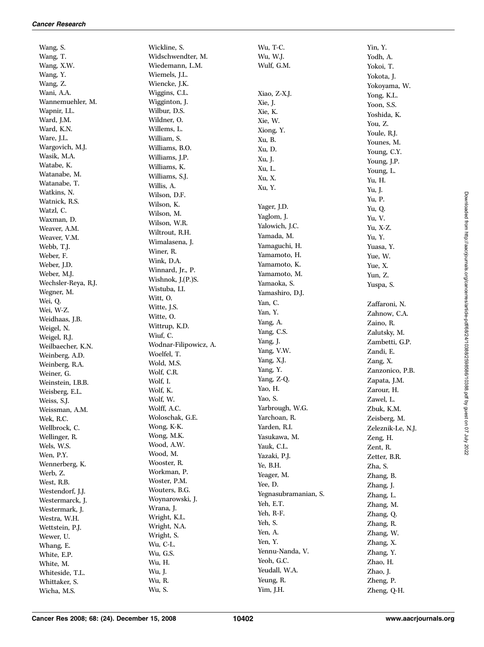Wang, S. Wang, T. Wang, X.W. Wang, Y. Wang, Z. Wani, A.A. Wannemuehler, M. Wapnir, I.L. Ward, J.M. Ward, K.N. Ware, J.L. Wargovich, M.J. Wasik, M.A. Watabe, K. Watanabe, M. Watanabe, T. Watkins, N. Watnick, R.S. Watzl, C. Waxman, D. Weaver, A.M. Weaver, V.M. Webb, T.J. Weber, F. Weber, J.D. Weber, M.J. Wechsler-Reya, R.J. Wegner, M. Wei, Q. Wei, W-Z. Weidhaas, J.B. Weigel, N. Weigel, R.J. Weilbaecher, K.N. Weinberg, A.D. Weinberg, R.A. Weiner, G. Weinstein, I.B.B. Weisberg, E.L. Weiss, S.J. Weissman, A.M. Wek, R.C. Wellbrock, C. Wellinger, R. Wels, W.S. Wen, P.Y. Wennerberg, K. Werb, Z. West, R.B. Westendorf, J.J. Westermarck, J. Westermark, J. Westra, W.H. Wettstein, P.J. Wewer, U. Whang, E. White, E.P. White, M. Whiteside, T.L. Whittaker, S. Wicha, M.S.

Wickline, S. Widschwendter, M. Wiedemann, L.M. Wiemels, J.L. Wiencke, J.K. Wiggins, C.L. Wigginton, J. Wilbur, D.S. Wildner, O. Willems, L. William, S. Williams, B.O. Williams, J.P. Williams, K. Williams, S.J. Willis, A. Wilson, D.F. Wilson, K. Wilson, M. Wilson, W.R. Wiltrout, R.H. Wimalasena, J. Winer, R. Wink, D.A. Winnard, Jr., P. Wishnok, J.(P.)S. Wistuba, I.I. Witt, O. Witte, J.S. Witte, O. Wittrup, K.D. Wiuf, C. Wodnar-Filipowicz, A. Woelfel, T. Wold, M.S. Wolf, C.R. Wolf, I. Wolf, K. Wolf, W. Wolff, A.C. Woloschak, G.E. Wong, K-K. Wong, M.K. Wood, A.W. Wood, M. Wooster, R. Workman, P. Woster, P.M. Wouters, B.G. Woynarowski, J. Wrana, J. Wright, K.L. Wright, N.A. Wright, S. Wu, C-L. Wu, G.S. Wu, H. Wu, J. Wu, R. Wu, S.

Wu, T-C. Wu, W.J. Wulf, G.M. Xiao, Z-X.J. Xie, J. Xie, K. Xie, W. Xiong, Y. Xu, B. Xu, D. Xu, J. Xu, L. Xu, X. Xu, Y. Yager, J.D. Yaglom, J. Yalowich, J.C. Yamada, M. Yamaguchi, H. Yamamoto, H. Yamamoto, K. Yamamoto, M. Yamaoka, S. Yamashiro, D.J. Yan, C. Yan, Y. Yang, A. Yang, C.S. Yang, J. Yang, V.W. Yang, X.J. Yang, Y. Yang, Z-Q. Yao, H. Yao, S. Yarbrough, W.G. Yarchoan, R. Yarden, R.I. Yasukawa, M. Yauk, C.L. Yazaki, P.J. Ye, B.H. Yeager, M. Yee, D. Yegnasubramanian, S. Yeh, E.T. Yeh, R-F. Yeh, S. Yen, A. Yen, Y. Yennu-Nanda, V. Yeoh, G.C. Yeudall, W.A.

Yin, Y. Yodh, A. Yokoi, T. Yokota, J. Yokoyama, W. Yong, K.L. Yoon, S.S. Yoshida, K. You, Z. Youle, R.J. Younes, M. Young, C.Y. Young, J.P. Young, L. Yu, H. Yu, J. Yu, P. Yu, Q. Yu, V. Yu, X-Z. Yu, Y. Yuasa, Y. Yue, W. Yue, X. Yun, Z. Yuspa, S. Zaffaroni, N. Zahnow, C.A. Zaino, R. Zalutsky, M. Zambetti, G.P. Zandi, E. Zang, X. Zanzonico, P.B. Zapata, J.M. Zarour, H. Zawel, L. Zbuk, K.M. Zeisberg, M. Zeleznik-Le, N.J. Zeng, H. Zent, R. Zetter, B.R. Zha, S. Zhang, B. Zhang, J. Zhang, L. Zhang, M. Zhang, Q. Zhang, R. Zhang, W. Zhang, X. Zhang, Y. Zhao, H. Zhao, J. Zheng, P.

Yeung, R. Yim, J.H.

Zheng, Q-H.